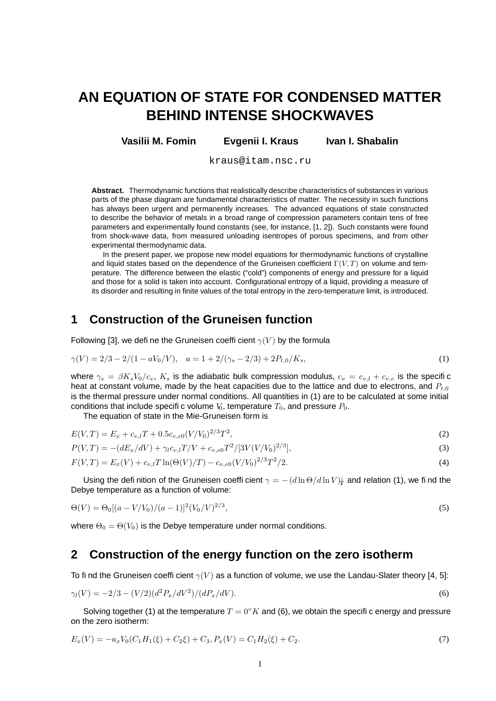# **AN EQUATION OF STATE FOR CONDENSED MATTER BEHIND INTENSE SHOCKWAVES**

**Vasilii M. Fomin Evgenii I. Kraus Ivan I. Shabalin**

kraus@itam.nsc.ru

**Abstract.** Thermodynamic functions that realistically describe characteristics of substances in various parts of the phase diagram are fundamental characteristics of matter. The necessity in such functions has always been urgent and permanently increases. The advanced equations of state constructed to describe the behavior of metals in a broad range of compression parameters contain tens of free parameters and experimentally found constants (see, for instance, [1, 2]). Such constants were found from shock-wave data, from measured unloading isentropes of porous specimens, and from other experimental thermodynamic data.

In the present paper, we propose new model equations for thermodynamic functions of crystalline and liquid states based on the dependence of the Gruneisen coefficient  $\Gamma(V,T)$  on volume and temperature. The difference between the elastic ("cold") components of energy and pressure for a liquid and those for a solid is taken into account. Configurational entropy of a liquid, providing a measure of its disorder and resulting in finite values of the total entropy in the zero-temperature limit, is introduced.

## **1 Construction of the Gruneisen function**

Following [3], we define the Gruneisen coefficient  $\gamma(V)$  by the formula

$$
\gamma(V) = 2/3 - 2/(1 - aV_0/V), \quad a = 1 + 2/(\gamma_s - 2/3) + 2P_{t,0}/K_s,
$$
\n(1)

where  $\gamma_s = \beta K_s V_0/c_v$ ,  $K_s$  is the adiabatic bulk compression modulus,  $c_v = c_{v,l} + c_{v,e}$  is the specific heat at constant volume, made by the heat capacities due to the lattice and due to electrons, and  $P_{t,0}$ is the thermal pressure under normal conditions. All quantities in (1) are to be calculated at some initial conditions that include specific volume V<sub>0</sub>, temperature  $T_0$ , and pressure  $P_0$ .

The equation of state in the Mie-Gruneisen form is

$$
E(V,T) = E_x + c_{v,l}T + 0.5c_{v,e0}(V/V_0)^{2/3}T^2,
$$
\n(2)

$$
P(V,T) = -(dE_x/dV) + \gamma_l c_{v,l} T/V + c_{v,e0} T^2/[3V(V/V_0)^{2/3}],
$$
\n(3)

$$
F(V,T) = E_x(V) + c_{v,l}T\ln(\Theta(V)/T) - c_{v,e0}(V/V_0)^{2/3}T^2/2.
$$
\n(4)

Using the defi nition of the Gruneisen coeffi cient  $\gamma=-(d\ln\Theta/d\ln V)_{\!\!T}$  and relation (1), we fi nd the Debye temperature as a function of volume:

$$
\Theta(V) = \Theta_0[(a - V/V_0)/(a - 1)]^2 (V_0/V)^{2/3},\tag{5}
$$

where  $\Theta_0 = \Theta(V_0)$  is the Debye temperature under normal conditions.

#### **2 Construction of the energy function on the zero isotherm**

To find the Gruneisen coefficient  $\gamma(V)$  as a function of volume, we use the Landau-Slater theory [4, 5]:

$$
\gamma_l(V) = -2/3 - (V/2)(d^2 P_x/dV^2)/(d P_x/dV). \tag{6}
$$

Solving together (1) at the temperature  $T = 0^{\circ} K$  and (6), we obtain the specific energy and pressure on the zero isotherm:

$$
E_x(V) = -a_x V_0 (C_1 H_1(\xi) + C_2 \xi) + C_3, P_x(V) = C_1 H_2(\xi) + C_2.
$$
\n<sup>(7)</sup>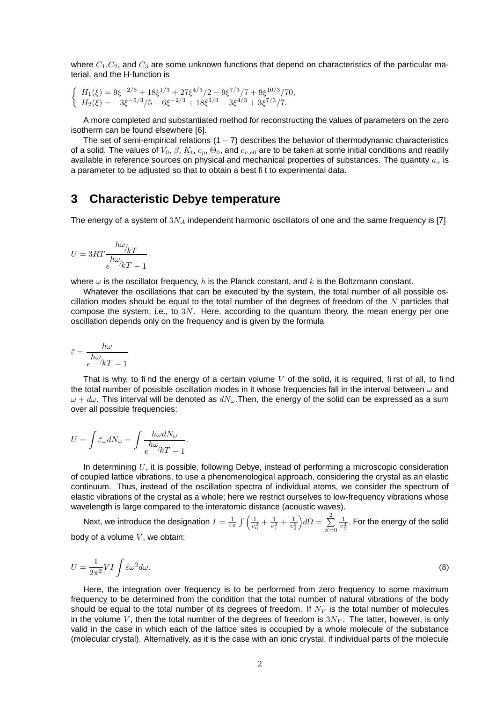where  $C_1$ ,  $C_2$ , and  $C_3$  are some unknown functions that depend on characteristics of the particular material, and the H-function is

$$
\begin{cases}\nH_1(\xi) = 9\xi^{-2/3} + 18\xi^{1/3} + 27\xi^{4/3}/2 - 9\xi^{7/3}/7 + 9\xi^{10/3}/70, \nH_2(\xi) = -3\xi^{-5/3}/5 + 6\xi^{-2/3} + 18\xi^{1/3} - 3\xi^{4/3} + 3\xi^{7/3}/7.\n\end{cases}
$$

A more completed and substantiated method for reconstructing the values of parameters on the zero isotherm can be found elsewhere [6].

The set of semi-empirical relations  $(1 - 7)$  describes the behavior of thermodynamic characteristics of a solid. The values of  $V_0$ ,  $\beta$ ,  $K_t$ ,  $c_p$ ,  $\Theta_0$ , and  $c_{v,e0}$  are to be taken at some initial conditions and readily available in reference sources on physical and mechanical properties of substances. The quantity  $a_x$  is a parameter to be adjusted so that to obtain a best fit to experimental data.

#### **3 Characteristic Debye temperature**

The energy of a system of  $3N_A$  independent harmonic oscillators of one and the same frequency is [7]

$$
U = 3RT \frac{h\omega_{/kT}}{e^{h\omega_{/kT}} - 1}
$$

where  $\omega$  is the oscillator frequency, h is the Planck constant, and k is the Boltzmann constant.

Whatever the oscillations that can be executed by the system, the total number of all possible oscillation modes should be equal to the total number of the degrees of freedom of the  $N$  particles that compose the system, i.e., to  $3N$ . Here, according to the quantum theory, the mean energy per one oscillation depends only on the frequency and is given by the formula

$$
\bar{\varepsilon} = \frac{h\omega}{e^{h\omega}/kT - 1}
$$

That is why, to find the energy of a certain volume  $V$  of the solid, it is required, first of all, to find the total number of possible oscillation modes in it whose frequencies fall in the interval between  $\omega$  and  $\omega + d\omega$ . This interval will be denoted as  $dN_{\omega}$ . Then, the energy of the solid can be expressed as a sum over all possible frequencies:

$$
U = \int \bar{\varepsilon}_{\omega} dN_{\omega} = \int \frac{h \omega dN_{\omega}}{e^{h \omega}/kT - 1}.
$$

In determining  $U$ , it is possible, following Debye, instead of performing a microscopic consideration of coupled lattice vibrations, to use a phenomenological approach, considering the crystal as an elastic continuum. Thus, instead of the oscillation spectra of individual atoms, we consider the spectrum of elastic vibrations of the crystal as a whole; here we restrict ourselves to low-frequency vibrations whose wavelength is large compared to the interatomic distance (acoustic waves).

Next, we introduce the designation  $I=\frac{1}{4\pi}\int\left(\frac{1}{v_0^3}+\frac{1}{v_1^3}+\frac{1}{v_2^3}\right)d\Omega=\sum\limits_{i=1}^2$  $S=0$  $\frac{1}{v_S^3}.$  For the energy of the solid body of a volume  $V$ , we obtain:

$$
U = \frac{1}{2\pi^2} VI \int \bar{\varepsilon}\omega^2 d\omega.
$$
 (8)

Here, the integration over frequency is to be performed from zero frequency to some maximum frequency to be determined from the condition that the total number of natural vibrations of the body should be equal to the total number of its degrees of freedom. If  $N_V$  is the total number of molecules in the volume V, then the total number of the degrees of freedom is  $3N<sub>V</sub>$ . The latter, however, is only valid in the case in which each of the lattice sites is occupied by a whole molecule of the substance (molecular crystal). Alternatively, as it is the case with an ionic crystal, if individual parts of the molecule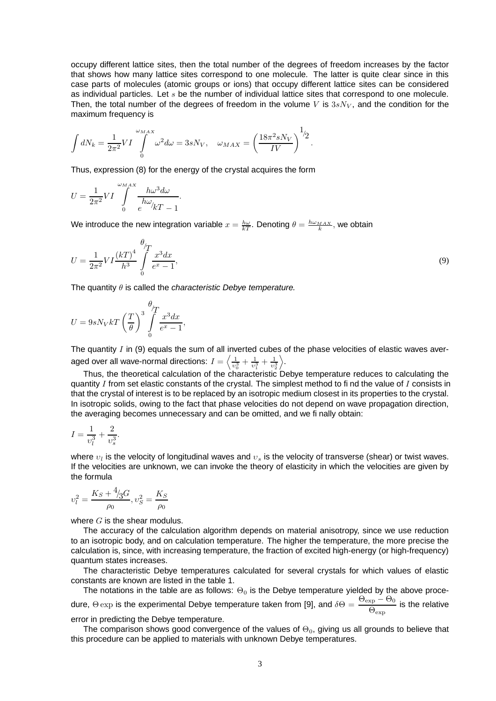occupy different lattice sites, then the total number of the degrees of freedom increases by the factor that shows how many lattice sites correspond to one molecule. The latter is quite clear since in this case parts of molecules (atomic groups or ions) that occupy different lattice sites can be considered as individual particles. Let  $s$  be the number of individual lattice sites that correspond to one molecule. Then, the total number of the degrees of freedom in the volume V is  $3sN<sub>V</sub>$ , and the condition for the maximum frequency is

$$
\int dN_k = \frac{1}{2\pi^2} VI \int\limits_0^{\omega_{MAX}} \omega^2 d\omega = 3sN_V, \quad \omega_{MAX} = \left(\frac{18\pi^2 sN_V}{IV}\right)^{1/2}.
$$

Thus, expression (8) for the energy of the crystal acquires the form

$$
U = \frac{1}{2\pi^2} VI \int\limits_{0}^{\omega_{MAX}} \frac{h\omega^3 d\omega}{h\omega/kT - 1}.
$$

θ

We introduce the new integration variable  $x=\frac{h\omega}{kT}.$  Denoting  $\theta=\frac{h\omega_{MAX}}{k},$  we obtain

$$
U = \frac{1}{2\pi^2} VI \frac{(kT)^4}{h^3} \int\limits_{0}^{t} \frac{x^3 dx}{e^x - 1},\tag{9}
$$

The quantity  $\theta$  is called the *characteristic Debye temperature*.

$$
U = 9sN_VkT\left(\frac{T}{\theta}\right)^3\int\limits_{0}^{\theta}\frac{x^3dx}{e^x - 1},
$$

The quantity  $I$  in (9) equals the sum of all inverted cubes of the phase velocities of elastic waves averaged over all wave-normal directions:  $I=\left\langle \frac{1}{\upsilon_0^3}+\frac{1}{\upsilon_1^3}+\frac{1}{\upsilon_2^3}\right\rangle$ .

Thus, the theoretical calculation of the characteristic Debye temperature reduces to calculating the quantity  $I$  from set elastic constants of the crystal. The simplest method to find the value of  $I$  consists in that the crystal of interest is to be replaced by an isotropic medium closest in its properties to the crystal. In isotropic solids, owing to the fact that phase velocities do not depend on wave propagation direction, the averaging becomes unnecessary and can be omitted, and we finally obtain:

$$
I = \frac{1}{v_l^3} + \frac{2}{v_s^3}.
$$

where  $v_l$  is the velocity of longitudinal waves and  $v_s$  is the velocity of transverse (shear) or twist waves. If the velocities are unknown, we can invoke the theory of elasticity in which the velocities are given by the formula

$$
v_l^2 = \frac{K_S + \frac{4}{3}G}{\rho_0}, v_S^2 = \frac{K_S}{\rho_0}
$$

where  $G$  is the shear modulus.

The accuracy of the calculation algorithm depends on material anisotropy, since we use reduction to an isotropic body, and on calculation temperature. The higher the temperature, the more precise the calculation is, since, with increasing temperature, the fraction of excited high-energy (or high-frequency) quantum states increases.

The characteristic Debye temperatures calculated for several crystals for which values of elastic constants are known are listed in the table 1.

The notations in the table are as follows:  $\Theta_0$  is the Debye temperature yielded by the above procedure,  $\Theta\exp$  is the experimental Debye temperature taken from [9], and  $\delta\Theta = \frac{\Theta_{\exp}-\Theta_0}{\Theta}$  $\frac{\text{Xp}}{\Theta_{\text{exp}}}$  is the relative

error in predicting the Debye temperature.

The comparison shows good convergence of the values of  $\Theta_0$ , giving us all grounds to believe that this procedure can be applied to materials with unknown Debye temperatures.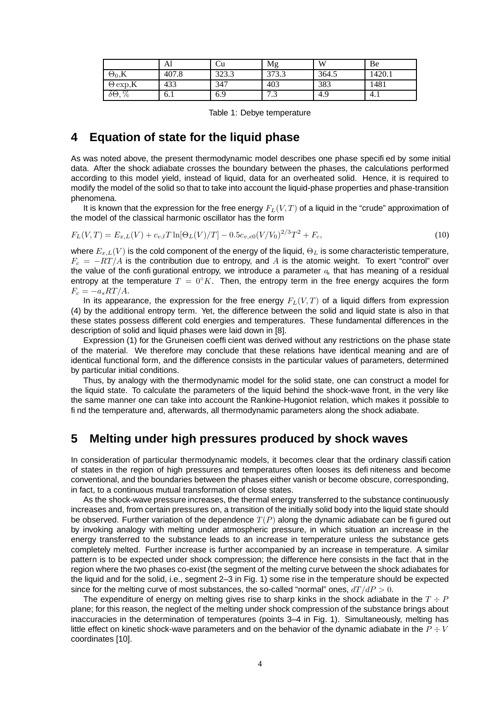|                    | Al    | ∪u    | Mg             | W     | Be     |
|--------------------|-------|-------|----------------|-------|--------|
| $\Theta_0, K$      | 407.8 | 323.3 | 373.3          | 364.5 | 1420.1 |
| $\Theta$ exp, K    | 433   | 347   | 403            | 383   | 1481   |
| $\delta\Theta, \%$ | 6.1   | 6.9   | $\overline{ }$ | 4.9   | 4.1    |

Table 1: Debye temperature

## **4 Equation of state for the liquid phase**

As was noted above, the present thermodynamic model describes one phase specified by some initial data. After the shock adiabate crosses the boundary between the phases, the calculations performed according to this model yield, instead of liquid, data for an overheated solid. Hence, it is required to modify the model of the solid so that to take into account the liquid-phase properties and phase-transition phenomena.

It is known that the expression for the free energy  $F<sub>L</sub>(V, T)$  of a liquid in the "crude" approximation of the model of the classical harmonic oscillator has the form

$$
F_L(V,T) = E_{x,L}(V) + c_{v,l}T \ln[\Theta_L(V)/T] - 0.5c_{v,e0}(V/V_0)^{2/3}T^2 + F_c,
$$
\n(10)

where  $E_{x,L}(V)$  is the cold component of the energy of the liquid,  $\Theta_L$  is some characteristic temperature,  $F_c = -RT/A$  is the contribution due to entropy, and A is the atomic weight. To exert "control" over the value of the configurational entropy, we introduce a parameter  $a<sub>s</sub>$  that has meaning of a residual entropy at the temperature  $T = 0^\circ K$ . Then, the entropy term in the free energy acquires the form  $F_c = -a_s RT/A.$ 

In its appearance, the expression for the free energy  $F_L(V,T)$  of a liquid differs from expression (4) by the additional entropy term. Yet, the difference between the solid and liquid state is also in that these states possess different cold energies and temperatures. These fundamental differences in the description of solid and liquid phases were laid down in [8].

Expression (1) for the Gruneisen coefficient was derived without any restrictions on the phase state of the material. We therefore may conclude that these relations have identical meaning and are of identical functional form, and the difference consists in the particular values of parameters, determined by particular initial conditions.

Thus, by analogy with the thermodynamic model for the solid state, one can construct a model for the liquid state. To calculate the parameters of the liquid behind the shock-wave front, in the very like the same manner one can take into account the Rankine-Hugoniot relation, which makes it possible to find the temperature and, afterwards, all thermodynamic parameters along the shock adiabate.

## **5 Melting under high pressures produced by shock waves**

In consideration of particular thermodynamic models, it becomes clear that the ordinary classification of states in the region of high pressures and temperatures often looses its definiteness and become conventional, and the boundaries between the phases either vanish or become obscure, corresponding, in fact, to a continuous mutual transformation of close states.

As the shock-wave pressure increases, the thermal energy transferred to the substance continuously increases and, from certain pressures on, a transition of the initially solid body into the liquid state should be observed. Further variation of the dependence  $T(P)$  along the dynamic adiabate can be figured out by invoking analogy with melting under atmospheric pressure, in which situation an increase in the energy transferred to the substance leads to an increase in temperature unless the substance gets completely melted. Further increase is further accompanied by an increase in temperature. A similar pattern is to be expected under shock compression; the difference here consists in the fact that in the region where the two phases co-exist (the segment of the melting curve between the shock adiabates for the liquid and for the solid, i.e., segment 2–3 in Fig. 1) some rise in the temperature should be expected since for the melting curve of most substances, the so-called "normal" ones,  $dT/dP > 0$ .

The expenditure of energy on melting gives rise to sharp kinks in the shock adiabate in the  $T \div P$ plane; for this reason, the neglect of the melting under shock compression of the substance brings about inaccuracies in the determination of temperatures (points 3–4 in Fig. 1). Simultaneously, melting has little effect on kinetic shock-wave parameters and on the behavior of the dynamic adiabate in the  $P \div V$ coordinates [10].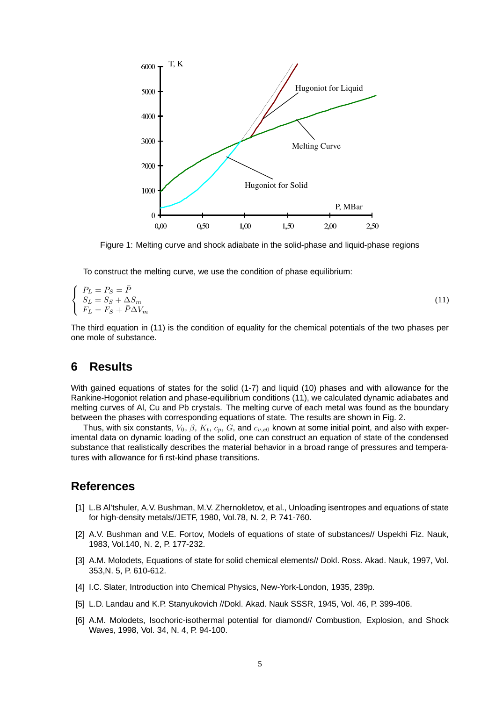

Figure 1: Melting curve and shock adiabate in the solid-phase and liquid-phase regions

To construct the melting curve, we use the condition of phase equilibrium:

$$
\begin{cases}\nP_L = P_S = \bar{P} \\
S_L = S_S + \Delta S_m \\
F_L = F_S + \bar{P}\Delta V_m\n\end{cases}
$$
\n(11)

The third equation in (11) is the condition of equality for the chemical potentials of the two phases per one mole of substance.

#### **6 Results**

With gained equations of states for the solid (1-7) and liquid (10) phases and with allowance for the Rankine-Hogoniot relation and phase-equilibrium conditions (11), we calculated dynamic adiabates and melting curves of Al, Cu and Pb crystals. The melting curve of each metal was found as the boundary between the phases with corresponding equations of state. The results are shown in Fig. 2.

Thus, with six constants,  $V_0$ ,  $\beta$ ,  $K_t$ ,  $c_p$ ,  $G$ , and  $c_{v,e0}$  known at some initial point, and also with experimental data on dynamic loading of the solid, one can construct an equation of state of the condensed substance that realistically describes the material behavior in a broad range of pressures and temperatures with allowance for first-kind phase transitions.

## **References**

- [1] L.B Al'tshuler, A.V. Bushman, M.V. Zhernokletov, et al., Unloading isentropes and equations of state for high-density metals//JETF, 1980, Vol.78, N. 2, P. 741-760.
- [2] A.V. Bushman and V.E. Fortov, Models of equations of state of substances// Uspekhi Fiz. Nauk, 1983, Vol.140, N. 2, P. 177-232.
- [3] A.M. Molodets, Equations of state for solid chemical elements// Dokl. Ross. Akad. Nauk, 1997, Vol. 353,N. 5, P. 610-612.
- [4] I.C. Slater, Introduction into Chemical Physics, New-York-London, 1935, 239p.
- [5] L.D. Landau and K.P. Stanyukovich //Dokl. Akad. Nauk SSSR, 1945, Vol. 46, P. 399-406.
- [6] A.M. Molodets, Isochoric-isothermal potential for diamond// Combustion, Explosion, and Shock Waves, 1998, Vol. 34, N. 4, P. 94-100.